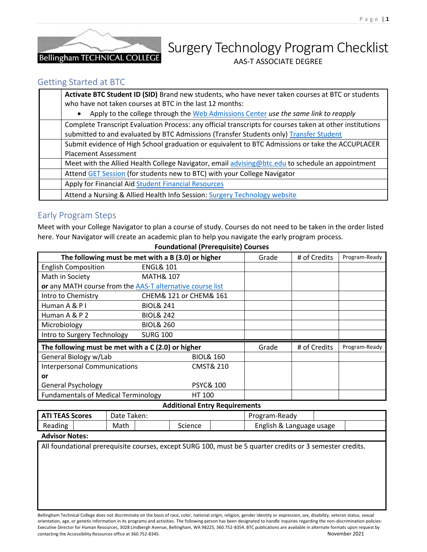

# Surgery Technology Program Checklist AAS-T ASSOCIATE DEGREE

### Getting Started at BTC

| Activate BTC Student ID (SID) Brand new students, who have never taken courses at BTC or students        |
|----------------------------------------------------------------------------------------------------------|
| who have not taken courses at BTC in the last 12 months:                                                 |
| Apply to the college through the Web Admissions Center use the same link to reapply<br>$\bullet$         |
| Complete Transcript Evaluation Process: any official transcripts for courses taken at other institutions |
| submitted to and evaluated by BTC Admissions (Transfer Students only) Transfer Student                   |
| Submit evidence of High School graduation or equivalent to BTC Admissions or take the ACCUPLACER         |
| <b>Placement Assessment</b>                                                                              |
| Meet with the Allied Health College Navigator, email advising@btc.edu to schedule an appointment         |
| Attend GET Session (for students new to BTC) with your College Navigator                                 |
| Apply for Financial Aid Student Financial Resources                                                      |
| Attend a Nursing & Allied Health Info Session: Surgery Technology website                                |

## Early Program Steps

Meet with your College Navigator to plan a course of study. Courses do not need to be taken in the order listed here. Your Navigator will create an academic plan to help you navigate the early program process.

| The following must be met with a B (3.0) or higher        | Grade                | # of Credits           | Program-Ready |  |  |
|-----------------------------------------------------------|----------------------|------------------------|---------------|--|--|
| <b>English Composition</b>                                | <b>ENGL&amp; 101</b> |                        |               |  |  |
| Math in Society                                           | <b>MATH&amp; 107</b> |                        |               |  |  |
| or any MATH course from the AAS-T alternative course list |                      |                        |               |  |  |
| Intro to Chemistry                                        |                      | CHEM& 121 or CHEM& 161 |               |  |  |
| Human A & P I                                             | <b>BIOL&amp; 241</b> |                        |               |  |  |
| Human A & P 2                                             | <b>BIOL&amp; 242</b> |                        |               |  |  |
| Microbiology                                              | <b>BIOL&amp; 260</b> |                        |               |  |  |
| Intro to Surgery Technology                               | <b>SURG 100</b>      |                        |               |  |  |
| The following must be met with a C (2.0) or higher        | Grade                | # of Credits           | Program-Ready |  |  |
| General Biology w/Lab                                     |                      | <b>BIOL&amp; 160</b>   |               |  |  |
| <b>Interpersonal Communications</b>                       |                      | <b>CMST&amp; 210</b>   |               |  |  |
| or                                                        |                      |                        |               |  |  |
| <b>General Psychology</b>                                 |                      | <b>PSYC&amp; 100</b>   |               |  |  |
| <b>Fundamentals of Medical Terminology</b>                |                      | HT 100                 |               |  |  |

#### **Foundational (Prerequisite) Courses**

#### **Additional Entry Requirements**

| <b>ATI TEAS Scores</b> |  | Date Taken: |  |         | Program-Ready            |  |
|------------------------|--|-------------|--|---------|--------------------------|--|
| Reading                |  | Math        |  | Science | English & Language usage |  |
|                        |  |             |  |         |                          |  |

#### **Advisor Notes:**

All foundational prerequisite courses, except SURG 100, must be 5 quarter credits or 3 semester credits.

Bellingham Technical College does not discriminate on the basis of race, color, national origin, religion, gender identity or expression, sex, disability, veteran status, sexual orientation, age, or genetic information in its programs and activities. The following person has been designated to handle inquiries regarding the non-discrimination policies: Executive Director for Human Resources, 3028 Lindbergh Avenue, Bellingham, WA 98225, 360.752-8354. BTC publications are available in alternate formats upon request by contacting the Accessibility Resources office at 360.752-8345. November 2021